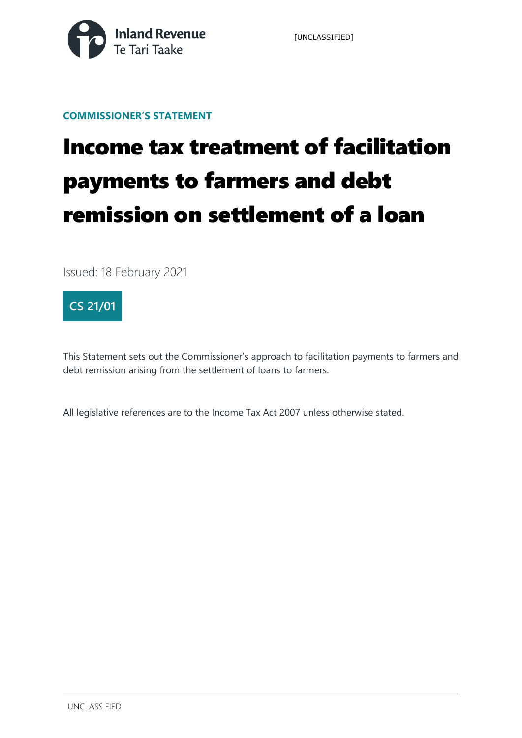

[UNCLASSIFIED]

**COMMISSIONER'S STATEMENT**

# Income tax treatment of facilitation payments to farmers and debt remission on settlement of a loan

Issued: 18 February 2021



This Statement sets out the Commissioner's approach to facilitation payments to farmers and debt remission arising from the settlement of loans to farmers.

All legislative references are to the Income Tax Act 2007 unless otherwise stated.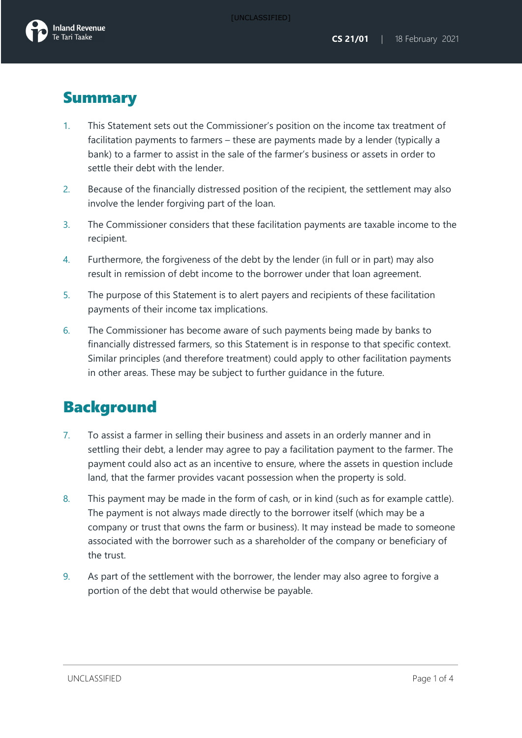### **Summary**

- 1. This Statement sets out the Commissioner's position on the income tax treatment of facilitation payments to farmers – these are payments made by a lender (typically a bank) to a farmer to assist in the sale of the farmer's business or assets in order to settle their debt with the lender.
- 2. Because of the financially distressed position of the recipient, the settlement may also involve the lender forgiving part of the loan.
- 3. The Commissioner considers that these facilitation payments are taxable income to the recipient.
- 4. Furthermore, the forgiveness of the debt by the lender (in full or in part) may also result in remission of debt income to the borrower under that loan agreement.
- 5. The purpose of this Statement is to alert payers and recipients of these facilitation payments of their income tax implications.
- 6. The Commissioner has become aware of such payments being made by banks to financially distressed farmers, so this Statement is in response to that specific context. Similar principles (and therefore treatment) could apply to other facilitation payments in other areas. These may be subject to further guidance in the future.

#### Background

- 7. To assist a farmer in selling their business and assets in an orderly manner and in settling their debt, a lender may agree to pay a facilitation payment to the farmer. The payment could also act as an incentive to ensure, where the assets in question include land, that the farmer provides vacant possession when the property is sold.
- 8. This payment may be made in the form of cash, or in kind (such as for example cattle). The payment is not always made directly to the borrower itself (which may be a company or trust that owns the farm or business). It may instead be made to someone associated with the borrower such as a shareholder of the company or beneficiary of the trust.
- 9. As part of the settlement with the borrower, the lender may also agree to forgive a portion of the debt that would otherwise be payable.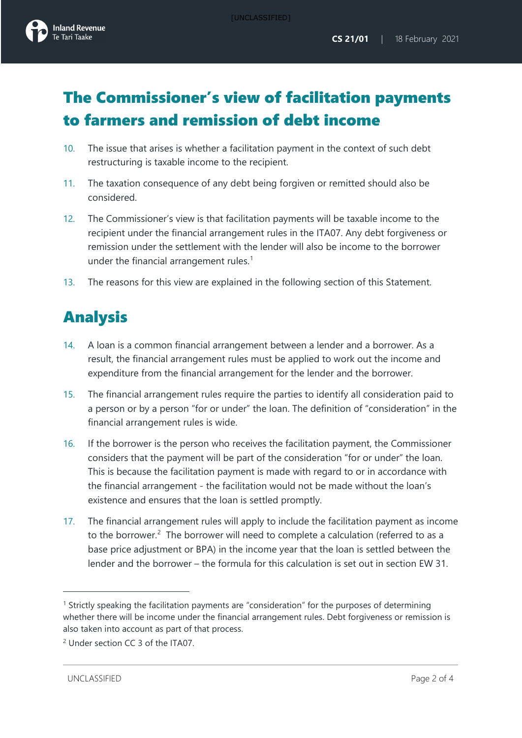

## The Commissioner's view of facilitation payments to farmers and remission of debt income

- 10. The issue that arises is whether a facilitation payment in the context of such debt restructuring is taxable income to the recipient.
- 11. The taxation consequence of any debt being forgiven or remitted should also be considered.
- 12. The Commissioner's view is that facilitation payments will be taxable income to the recipient under the financial arrangement rules in the ITA07. Any debt forgiveness or remission under the settlement with the lender will also be income to the borrower under the financial arrangement rules.<sup>[1](#page-2-0)</sup>
- 13. The reasons for this view are explained in the following section of this Statement.

# Analysis

- 14. A loan is a common financial arrangement between a lender and a borrower. As a result, the financial arrangement rules must be applied to work out the income and expenditure from the financial arrangement for the lender and the borrower.
- 15. The financial arrangement rules require the parties to identify all consideration paid to a person or by a person "for or under" the loan. The definition of "consideration" in the financial arrangement rules is wide.
- 16. If the borrower is the person who receives the facilitation payment, the Commissioner considers that the payment will be part of the consideration "for or under" the loan. This is because the facilitation payment is made with regard to or in accordance with the financial arrangement - the facilitation would not be made without the loan's existence and ensures that the loan is settled promptly.
- 17. The financial arrangement rules will apply to include the facilitation payment as income to the borrower.<sup>[2](#page-2-1)</sup> The borrower will need to complete a calculation (referred to as a base price adjustment or BPA) in the income year that the loan is settled between the lender and the borrower – the formula for this calculation is set out in section EW 31.

<span id="page-2-0"></span><sup>1</sup> Strictly speaking the facilitation payments are "consideration" for the purposes of determining whether there will be income under the financial arrangement rules. Debt forgiveness or remission is also taken into account as part of that process.

<span id="page-2-1"></span><sup>2</sup> Under section CC 3 of the ITA07.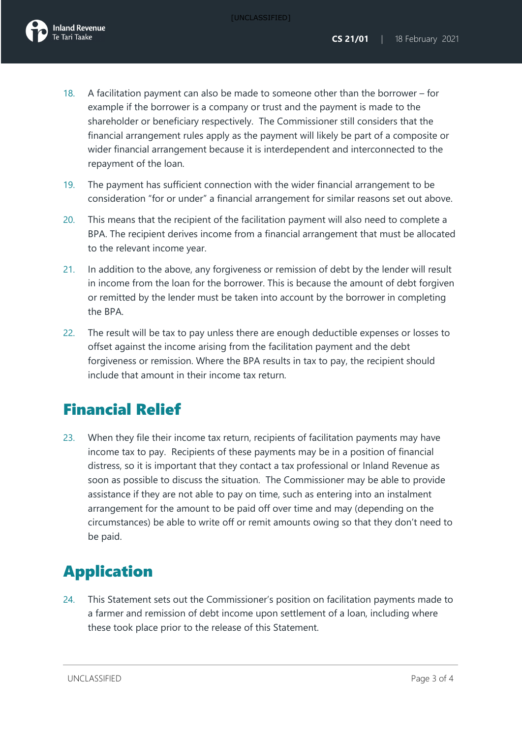- 18. A facilitation payment can also be made to someone other than the borrower for example if the borrower is a company or trust and the payment is made to the shareholder or beneficiary respectively. The Commissioner still considers that the financial arrangement rules apply as the payment will likely be part of a composite or wider financial arrangement because it is interdependent and interconnected to the repayment of the loan.
- 19. The payment has sufficient connection with the wider financial arrangement to be consideration "for or under" a financial arrangement for similar reasons set out above.
- 20. This means that the recipient of the facilitation payment will also need to complete a BPA. The recipient derives income from a financial arrangement that must be allocated to the relevant income year.
- 21. In addition to the above, any forgiveness or remission of debt by the lender will result in income from the loan for the borrower. This is because the amount of debt forgiven or remitted by the lender must be taken into account by the borrower in completing the BPA.
- 22. The result will be tax to pay unless there are enough deductible expenses or losses to offset against the income arising from the facilitation payment and the debt forgiveness or remission. Where the BPA results in tax to pay, the recipient should include that amount in their income tax return.

#### Financial Relief

23. When they file their income tax return, recipients of facilitation payments may have income tax to pay. Recipients of these payments may be in a position of financial distress, so it is important that they contact a tax professional or Inland Revenue as soon as possible to discuss the situation. The Commissioner may be able to provide assistance if they are not able to pay on time, such as entering into an instalment arrangement for the amount to be paid off over time and may (depending on the circumstances) be able to write off or remit amounts owing so that they don't need to be paid.

# Application

24. This Statement sets out the Commissioner's position on facilitation payments made to a farmer and remission of debt income upon settlement of a loan, including where these took place prior to the release of this Statement.